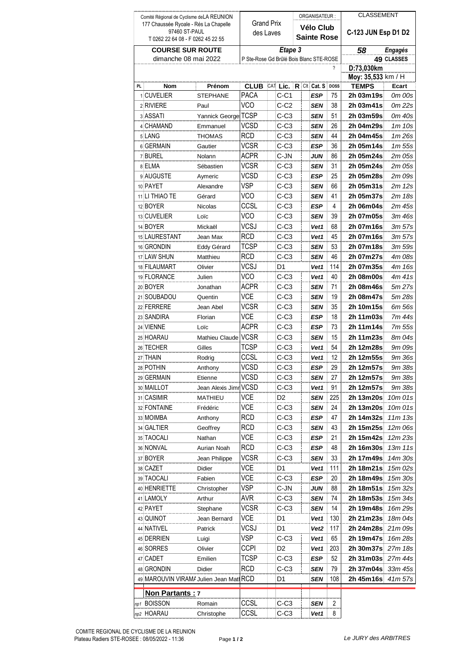| Comité Régional de Cyclisme de LA REUNION |                                         |                       |                                         |  |        | ORGANISATEUR :     |  |                  |                    | <b>CLASSEMENT</b>    |             |
|-------------------------------------------|-----------------------------------------|-----------------------|-----------------------------------------|--|--------|--------------------|--|------------------|--------------------|----------------------|-------------|
| 177 Chaussée Ryoale - Rés La Chapelle     |                                         |                       | <b>Grand Prix</b>                       |  |        | Vélo Club          |  |                  |                    |                      |             |
| 97460 ST-PAUL                             |                                         |                       | des Laves                               |  |        | <b>Sainte Rose</b> |  |                  |                    | C-123 JUN Esp D1 D2  |             |
| T 0262 22 64 08 - F 0262 45 22 55         |                                         |                       |                                         |  |        |                    |  |                  |                    |                      |             |
| <b>COURSE SUR ROUTE</b>                   |                                         |                       | Etape 3                                 |  |        |                    |  |                  |                    | 58<br><b>Engagés</b> |             |
| dimanche 08 mai 2022                      |                                         |                       | P Ste-Rose Gd Brûlé Bois Blanc STE-ROSE |  |        |                    |  |                  | <b>49 CLASSES</b>  |                      |             |
|                                           |                                         | ?                     |                                         |  |        |                    |  |                  | D:73,030km         |                      |             |
|                                           |                                         |                       | $CAT$ Lic. $R$ CIt Cat. S               |  |        |                    |  |                  | Moy: 35,533 km / H |                      |             |
| <b>PL</b>                                 | <b>Nom</b>                              | Prénom                | <b>CLUB</b>                             |  |        |                    |  |                  | <b>DOSS</b>        | <b>TEMPS</b>         | Ecart       |
|                                           | 1 CUVELIER                              | <b>STEPHANE</b>       | <b>PACA</b>                             |  | $C-C1$ |                    |  | <b>ESP</b>       | 75                 | 2h 03m19s            | 0m 00s      |
|                                           | 2 RIVIERE                               | Paul                  | <b>VCO</b>                              |  | C-C2   |                    |  | <b>SEN</b>       | 38                 | 2h 03m41s            | 0m 22s      |
|                                           | 3 ASSATI                                | Yannick George TCSP   |                                         |  | $C-C3$ |                    |  | <b>SEN</b>       | 51                 | 2h 03m59s            | 0m 40s      |
|                                           | 4 CHAMAND                               | Emmanuel              | <b>VCSD</b>                             |  | $C-C3$ |                    |  | <b>SEN</b>       | 26                 | 2h 04m29s            | 1m10s       |
|                                           | 5 LANG                                  | THOMAS                | RCD                                     |  | $C-C3$ |                    |  | SEN              | 44                 | 2h 04m45s            | 1m 26s      |
|                                           | 6 GERMAIN                               | Gautier               | <b>VCSR</b>                             |  | $C-C3$ |                    |  | ESP              | 36                 | 2h 05m14s            | 1m 55s      |
|                                           | 7 BUREL                                 | Nolann                | <b>ACPR</b>                             |  | C-JN   |                    |  | JUN              | 86                 | 2h 05m24s            | 2m 05s      |
|                                           | 8 ELMA                                  | Sébastien             | <b>VCSR</b>                             |  | $C-C3$ |                    |  | SEN              | 31                 | 2h 05m24s            | 2m 05s      |
|                                           | 9 AUGUSTE                               | Aymeric               | <b>VCSD</b>                             |  | $C-C3$ |                    |  | ESP              | 25                 | 2h 05m28s            | 2m 09s      |
|                                           | 10 PAYET                                | Alexandre             | <b>VSP</b>                              |  | $C-C3$ |                    |  | SEN              | 66                 | 2h 05m31s            | 2m 12s      |
|                                           | 11 LI THIAO TE                          | Gérard                | <b>VCO</b>                              |  | $C-C3$ |                    |  | SEN              | 41                 | 2h 05m37s            | 2m 18s      |
|                                           | 12 BOYER                                | <b>Nicolas</b>        | CCSL                                    |  | $C-C3$ |                    |  | ESP              | 4                  | 2h 06m04s            | 2m 45s      |
|                                           | 13 CUVELIER                             | Loïc                  | <b>VCO</b>                              |  | $C-C3$ |                    |  | SEN              | 39                 | 2h 07m05s            | 3m 46s      |
|                                           | 14 BOYER                                | Mickaël               | <b>VCSJ</b>                             |  | $C-C3$ |                    |  | Vet1             | 68                 | 2h 07m16s            | 3m 57s      |
|                                           | 15 LAURESTANT                           | Jean Max              | <b>RCD</b>                              |  | $C-C3$ |                    |  | Vet1             | 45                 | 2h 07m16s            | 3m 57s      |
|                                           | 16 GRONDIN                              | Eddy Gérard           | <b>TCSP</b>                             |  | $C-C3$ |                    |  | SEN              | 53                 | 2h 07m18s            | 3m 59s      |
|                                           | 17 LAW SHUN                             | Matthieu              | <b>RCD</b>                              |  | $C-C3$ |                    |  | SEN              | 46                 | 2h 07m27s            | 4m 08s      |
|                                           | 18 FILAUMART                            | Olivier               | <b>VCSJ</b>                             |  | D1     |                    |  | Vet1             | 114                | 2h 07m35s            | 4m 16s      |
|                                           |                                         |                       | <b>VCO</b>                              |  |        |                    |  |                  | 40                 |                      |             |
|                                           | 19 FLORANCE                             | Julien                | <b>ACPR</b>                             |  | C-C3   |                    |  | Vet1             |                    | 2h 08m00s            | 4m 41s      |
|                                           | 20 BOYER                                | Jonathan              | <b>VCE</b>                              |  | $C-C3$ |                    |  | SEN              | 71                 | 2h 08m46s            | 5m 27s      |
|                                           | 21 SOUBADOU                             | Quentin               |                                         |  | $C-C3$ |                    |  | SEN              | 19                 | 2h 08m47s            | 5m 28s      |
|                                           | 22 FERRERE                              | Jean Abel             | <b>VCSR</b>                             |  | $C-C3$ |                    |  | SEN              | 35                 | 2h 10m15s            | 6m 56s      |
|                                           | 23 SANDIRA                              | Florian               | <b>VCE</b>                              |  | $C-C3$ |                    |  | ESP              | 18                 | 2h 11m03s            | 7m 44s      |
|                                           | 24 VIENNE                               | Loïc                  | <b>ACPR</b>                             |  | $C-C3$ |                    |  | ESP              | 73                 | 2h 11m14s            | 7m 55s      |
|                                           | 25 HOARAU                               | Mathieu Claude VCSR   |                                         |  | $C-C3$ |                    |  | SEN              | 15                 | 2h 11m23s            | 8m 04s      |
|                                           | 26 TECHER                               | Gilles                | TCSP                                    |  | $C-C3$ |                    |  | Vet1             | 54                 | 2h 12m28s            | 9m 09s      |
|                                           | 27 THAIN                                | Rodrig                | CCSI                                    |  | $C-C3$ |                    |  | Vet1             | 12                 | 2h 12m55s            | 9m 36s      |
|                                           | 28 POTHIN                               | Anthony               | <b>VCSD</b>                             |  | $C-C3$ |                    |  | ESP              | 29                 | 2h 12m57s            | 9m 38s      |
|                                           | 29 GERMAIN                              | Etienne               | <b>VCSD</b>                             |  | C-C3   |                    |  | SEN              | 27                 | 2h 12m57s            | 9m 38s      |
|                                           | 30 MAILLOT                              | Jean Alexis Jimr VCSD |                                         |  | C-C3   |                    |  | Vet1             | 91                 | 2h 12m57s            | 9m 38s      |
|                                           | 31 CASIMIR                              | MATHIEU               | VCE                                     |  | D2     |                    |  | SEN              | 225                | 2h 13m20s            | 10m 01s     |
|                                           | 32 FONTAINE                             | Frédéric              | VCE                                     |  | C-C3   |                    |  | SEN              | 24                 | 2h 13m20s            | 10m 01s     |
|                                           | 33 MOIMBA                               | Anthony               | <b>RCD</b>                              |  | C-C3   |                    |  | ESP              | 47                 | 2h 14m32s            | $11m$ $13s$ |
|                                           | 34 GALTIER                              | Geoffrey              | <b>RCD</b>                              |  | $C-C3$ |                    |  | SEN              | 43                 | 2h 15m25s            | 12m 06s     |
|                                           | 35 TAOCALI                              | Nathan                | VCE                                     |  | C-C3   |                    |  | ESP              | 21                 | 2h 15m42s            | 12m 23s     |
|                                           | 36 NONVAL                               | Aurian Noah           | <b>RCD</b>                              |  | $C-C3$ |                    |  | ESP              | 48                 | 2h 16m30s            | 13m 11s     |
|                                           | 37 BOYER                                | Jean Philippe         | VCSR                                    |  | C-C3   |                    |  | SEN              | 33                 | 2h 17m49s            | 14m 30s     |
|                                           | 38 CAZET                                | Didier                | VCE                                     |  | D1     |                    |  | Vet1             | 111                | 2h 18m21s            | 15m 02s     |
|                                           | 39 TAOCALI                              | Fabien                | VCE                                     |  | C-C3   |                    |  | ESP              | 20                 | 2h 18m49s            | 15m 30s     |
|                                           | 40 HENRIETTE                            | Christopher           | VSP                                     |  | C-JN   |                    |  | JUN              | 88                 | 2h 18m51s            | 15m 32s     |
|                                           | 41 LAMOLY                               | Arthur                | AVR                                     |  | C-C3   |                    |  | SEN              | 74                 | 2h 18m53s            | 15m 34s     |
|                                           | 42 PAYET                                | Stephane              | VCSR                                    |  | C-C3   |                    |  | SEN              | 14                 | 2h 19m48s            | 16m 29s     |
|                                           | 43 QUINOT                               |                       | VCE                                     |  | D1     |                    |  |                  | 130                | 2h 21m23s            | 18m 04s     |
|                                           |                                         | Jean Bernard          | <b>VCSJ</b>                             |  |        |                    |  | Vet1             |                    |                      |             |
|                                           | 44 NATIVEL                              | Patrick               |                                         |  | D1     |                    |  | Vet <sub>2</sub> | 117                | 2h 24m28s            | 21m 09s     |
|                                           | 45 DERRIEN                              | Luigi                 | VSP                                     |  | $C-C3$ |                    |  | Vet1             | 65                 | 2h 19m47s            | 16m 28s     |
|                                           | 46 SORRES                               | Olivier               | <b>CCPI</b>                             |  | D2     |                    |  | Vet1             | 203                | 2h 30m37s            | 27m 18s     |
|                                           | 47 CADET                                | Emilien               | <b>TCSP</b>                             |  | $C-C3$ |                    |  | <b>ESP</b>       | 52                 | 2h 31m03s            | 27m 44s     |
|                                           | 48 GRONDIN                              | Didier                | RCD                                     |  | C-C3   |                    |  | SEN              | 79                 | 2h 37m04s            | 33m 45s     |
|                                           | 49 MAROUVIN VIRAMA Julien Jean Mati RCD |                       |                                         |  | D1     |                    |  | SEN              | 108                | 2h 45m16s            | 41m 57s     |
|                                           | <b>Non Partants: 7</b>                  |                       |                                         |  |        |                    |  |                  |                    |                      |             |
|                                           | np1 BOISSON                             | Romain                | CCSL                                    |  | C-C3   |                    |  | SEN              | 2                  |                      |             |
|                                           | np2 HOARAU                              | Christophe            | CCSL                                    |  | C-C3   |                    |  | Vet1             | 8                  |                      |             |
|                                           |                                         |                       |                                         |  |        |                    |  |                  |                    |                      |             |